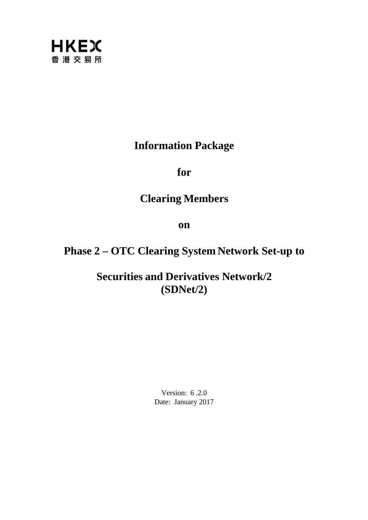

## **Information Package**

**for**

## **Clearing Members**

**on**

# **Phase 2 – OTC Clearing System Network Set-up to**

**Securities and Derivatives Network/2 (SDNet/2)**

> Version: 6 .2.0 Date: January 2017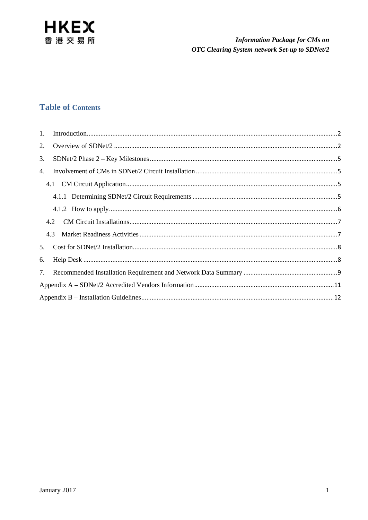

## **Table of Contents**

| 2. |     |  |  |  |
|----|-----|--|--|--|
| 3. |     |  |  |  |
| 4. |     |  |  |  |
|    |     |  |  |  |
|    |     |  |  |  |
|    |     |  |  |  |
|    |     |  |  |  |
|    | 4.3 |  |  |  |
| 5. |     |  |  |  |
| 6. |     |  |  |  |
|    |     |  |  |  |
|    |     |  |  |  |
|    |     |  |  |  |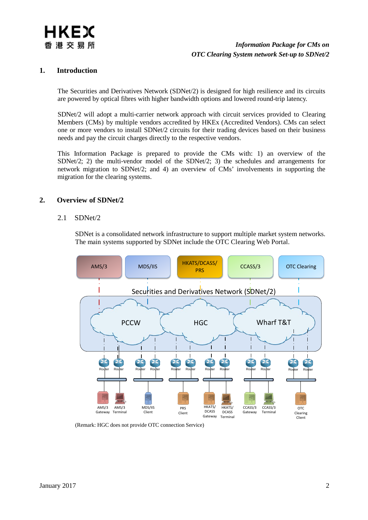

#### <span id="page-2-0"></span>**1. Introduction**

The Securities and Derivatives Network (SDNet/2) is designed for high resilience and its circuits are powered by optical fibres with higher bandwidth options and lowered round-trip latency.

SDNet/2 will adopt a multi-carrier network approach with circuit services provided to Clearing Members (CMs) by multiple vendors accredited by HKEx (Accredited Vendors). CMs can select one or more vendors to install SDNet/2 circuits for their trading devices based on their business needs and pay the circuit charges directly to the respective vendors.

This Information Package is prepared to provide the CMs with: 1) an overview of the SDNet/2; 2) the multi-vendor model of the SDNet/2; 3) the schedules and arrangements for network migration to SDNet/2; and 4) an overview of CMs' involvements in supporting the migration for the clearing systems.

#### <span id="page-2-1"></span>**2. Overview of SDNet/2**

#### 2.1 SDNet/2

SDNet is a consolidated network infrastructure to support multiple market system networks. The main systems supported by SDNet include the OTC Clearing Web Portal.



(Remark: HGC does not provide OTC connection Service)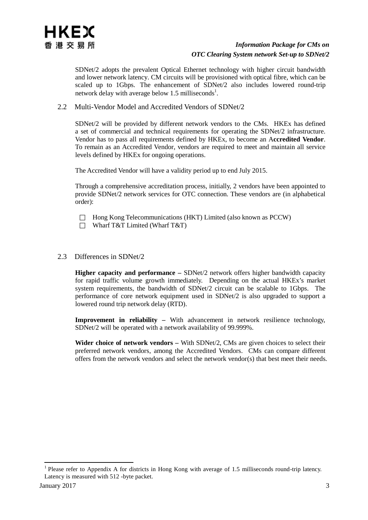SDNet/2 adopts the prevalent Optical Ethernet technology with higher circuit bandwidth and lower network latency. CM circuits will be provisioned with optical fibre, which can be scaled up to 1Gbps. The enhancement of SDNet/2 also includes lowered round-trip network delay with average below  $1.5$  milliseconds<sup>1</sup>.

2.2 Multi-Vendor Model and Accredited Vendors of SDNet/2

SDNet/2 will be provided by different network vendors to the CMs. HKEx has defined a set of commercial and technical requirements for operating the SDNet/2 infrastructure. Vendor has to pass all requirements defined by HKEx, to become an A**ccredited Vendor**. To remain as an Accredited Vendor, vendors are required to meet and maintain all service levels defined by HKEx for ongoing operations.

The Accredited Vendor will have a validity period up to end July 2015.

Through a comprehensive accreditation process, initially, 2 vendors have been appointed to provide SDNet/2 network services for OTC connection. These vendors are (in alphabetical order):

 $\Box$  Hong Kong Telecommunications (HKT) Limited (also known as PCCW)

□ Wharf T&T Limited (Wharf T&T)

#### 2.3 Differences in SDNet/2

**Higher capacity and performance –** SDNet/2 network offers higher bandwidth capacity for rapid traffic volume growth immediately. Depending on the actual HKEx's market system requirements, the bandwidth of SDNet/2 circuit can be scalable to 1Gbps. The performance of core network equipment used in SDNet/2 is also upgraded to support a lowered round trip network delay (RTD).

**Improvement in reliability –** With advancement in network resilience technology, SDNet/2 will be operated with a network availability of 99.999%.

**Wider choice of network vendors –** With SDNet/2, CMs are given choices to select their preferred network vendors, among the Accredited Vendors. CMs can compare different offers from the network vendors and select the network vendor(s) that best meet their needs.

<sup>&</sup>lt;sup>1</sup> Please refer to Appendix A for districts in Hong Kong with average of 1.5 milliseconds round-trip latency. Latency is measured with 512 -byte packet.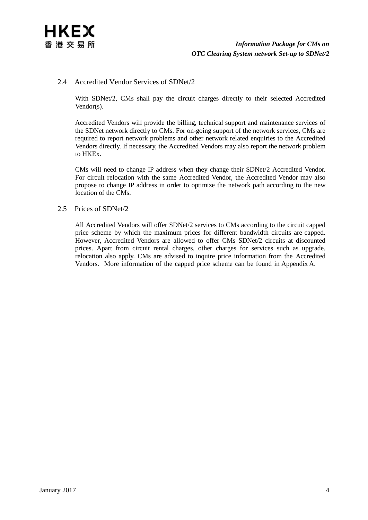

#### 2.4 Accredited Vendor Services of SDNet/2

With SDNet/2, CMs shall pay the circuit charges directly to their selected Accredited Vendor(s).

Accredited Vendors will provide the billing, technical support and maintenance services of the SDNet network directly to CMs. For on-going support of the network services, CMs are required to report network problems and other network related enquiries to the Accredited Vendors directly. If necessary, the Accredited Vendors may also report the network problem to HKEx.

CMs will need to change IP address when they change their SDNet/2 Accredited Vendor. For circuit relocation with the same Accredited Vendor, the Accredited Vendor may also propose to change IP address in order to optimize the network path according to the new location of the CMs.

#### 2.5 Prices of SDNet/2

All Accredited Vendors will offer SDNet/2 services to CMs according to the circuit capped price scheme by which the maximum prices for different bandwidth circuits are capped. However, Accredited Vendors are allowed to offer CMs SDNet/2 circuits at discounted prices. Apart from circuit rental charges, other charges for services such as upgrade, relocation also apply. CMs are advised to inquire price information from the Accredited Vendors. More information of the capped price scheme can be found in Appendix A.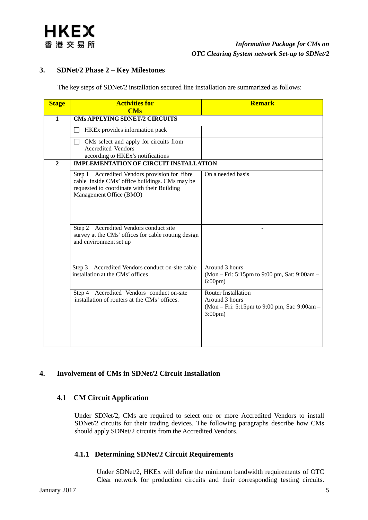#### <span id="page-5-0"></span>**3. SDNet/2 Phase 2 – Key Milestones**

The key steps of SDNet/2 installation secured line installation are summarized as follows:

| <b>Stage</b>   | <b>Activities for</b><br><b>CMs</b>                                                                                                                                                                                 | <b>Remark</b>                                                                                                    |  |  |  |  |
|----------------|---------------------------------------------------------------------------------------------------------------------------------------------------------------------------------------------------------------------|------------------------------------------------------------------------------------------------------------------|--|--|--|--|
| $\mathbf{1}$   | <b>CMs APPLYING SDNET/2 CIRCUITS</b>                                                                                                                                                                                |                                                                                                                  |  |  |  |  |
|                | HKEx provides information pack                                                                                                                                                                                      |                                                                                                                  |  |  |  |  |
|                | CMs select and apply for circuits from<br>$\perp$<br><b>Accredited Vendors</b><br>according to HKEx's notifications                                                                                                 |                                                                                                                  |  |  |  |  |
| $\overline{2}$ | <b>IMPLEMENTATION OF CIRCUIT INSTALLATION</b>                                                                                                                                                                       |                                                                                                                  |  |  |  |  |
|                | Step 1 Accredited Vendors provision for fibre<br>cable inside CMs' office buildings. CMs may be<br>requested to coordinate with their Building<br>Management Office (BMO)<br>Step 2 Accredited Vendors conduct site | On a needed basis                                                                                                |  |  |  |  |
|                | survey at the CMs' offices for cable routing design<br>and environment set up                                                                                                                                       |                                                                                                                  |  |  |  |  |
|                | Step 3 Accredited Vendors conduct on-site cable<br>installation at the CMs' offices                                                                                                                                 | Around 3 hours<br>(Mon – Fri: 5:15pm to 9:00 pm, Sat: 9:00am –<br>$6:00 \text{pm}$                               |  |  |  |  |
|                | Step 4 Accredited Vendors conduct on-site<br>installation of routers at the CMs' offices.                                                                                                                           | <b>Router Installation</b><br>Around 3 hours<br>(Mon – Fri: 5:15pm to 9:00 pm, Sat: 9:00am –<br>$3:00 \text{pm}$ |  |  |  |  |

## <span id="page-5-2"></span><span id="page-5-1"></span>**4. Involvement of CMs in SDNet/2 Circuit Installation**

## **4.1 CM Circuit Application**

Under SDNet/2, CMs are required to select one or more Accredited Vendors to install SDNet/2 circuits for their trading devices. The following paragraphs describe how CMs should apply SDNet/2 circuits from the Accredited Vendors.

## <span id="page-5-3"></span>**4.1.1 Determining SDNet/2 Circuit Requirements**

Under SDNet/2, HKEx will define the minimum bandwidth requirements of OTC Clear network for production circuits and their corresponding testing circuits.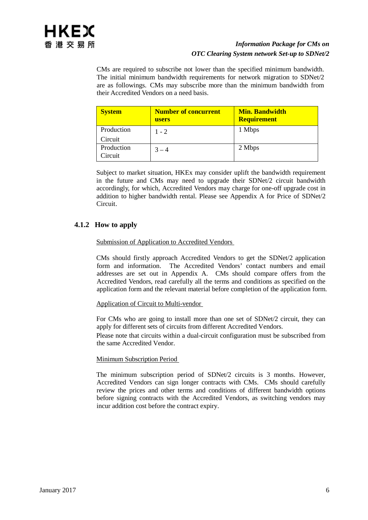CMs are required to subscribe not lower than the specified minimum bandwidth. The initial minimum bandwidth requirements for network migration to SDNet/2 are as followings. CMs may subscribe more than the minimum bandwidth from their Accredited Vendors on a need basis.

| <b>System</b>         | <b>Number of concurrent</b><br>users | <b>Min. Bandwidth</b><br><b>Requirement</b> |
|-----------------------|--------------------------------------|---------------------------------------------|
| Production            | $1 - 2$                              | 1 Mbps                                      |
| Circuit               |                                      |                                             |
| Production<br>Circuit | $3 - 4$                              | 2 Mbps                                      |

Subject to market situation, HKEx may consider uplift the bandwidth requirement in the future and CMs may need to upgrade their SDNet/2 circuit bandwidth accordingly, for which, Accredited Vendors may charge for one-off upgrade cost in addition to higher bandwidth rental. Please see Appendix A for Price of SDNet/2 Circuit.

## <span id="page-6-0"></span>**4.1.2 How to apply**

#### Submission of Application to Accredited Vendors

CMs should firstly approach Accredited Vendors to get the SDNet/2 application form and information. The Accredited Vendors' contact numbers and email addresses are set out in Appendix A. CMs should compare offers from the Accredited Vendors, read carefully all the terms and conditions as specified on the application form and the relevant material before completion of the application form.

#### Application of Circuit to Multi-vendor

For CMs who are going to install more than one set of SDNet/2 circuit, they can apply for different sets of circuits from different Accredited Vendors.

Please note that circuits within a dual-circuit configuration must be subscribed from the same Accredited Vendor.

#### Minimum Subscription Period

The minimum subscription period of SDNet/2 circuits is 3 months. However, Accredited Vendors can sign longer contracts with CMs. CMs should carefully review the prices and other terms and conditions of different bandwidth options before signing contracts with the Accredited Vendors, as switching vendors may incur addition cost before the contract expiry.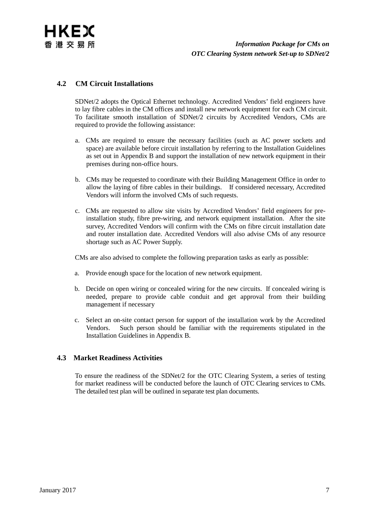

### <span id="page-7-0"></span>**4.2 CM Circuit Installations**

SDNet/2 adopts the Optical Ethernet technology. Accredited Vendors' field engineers have to lay fibre cables in the CM offices and install new network equipment for each CM circuit. To facilitate smooth installation of SDNet/2 circuits by Accredited Vendors, CMs are required to provide the following assistance:

- a. CMs are required to ensure the necessary facilities (such as AC power sockets and space) are available before circuit installation by referring to the Installation Guidelines as set out in Appendix B and support the installation of new network equipment in their premises during non-office hours.
- b. CMs may be requested to coordinate with their Building Management Office in order to allow the laying of fibre cables in their buildings. If considered necessary, Accredited Vendors will inform the involved CMs of such requests.
- c. CMs are requested to allow site visits by Accredited Vendors' field engineers for preinstallation study, fibre pre-wiring, and network equipment installation. After the site survey, Accredited Vendors will confirm with the CMs on fibre circuit installation date and router installation date. Accredited Vendors will also advise CMs of any resource shortage such as AC Power Supply.

CMs are also advised to complete the following preparation tasks as early as possible:

- a. Provide enough space for the location of new network equipment.
- b. Decide on open wiring or concealed wiring for the new circuits. If concealed wiring is needed, prepare to provide cable conduit and get approval from their building management if necessary
- c. Select an on-site contact person for support of the installation work by the Accredited Vendors. Such person should be familiar with the requirements stipulated in the Installation Guidelines in Appendix B.

#### <span id="page-7-1"></span>**4.3 Market Readiness Activities**

To ensure the readiness of the SDNet/2 for the OTC Clearing System, a series of testing for market readiness will be conducted before the launch of OTC Clearing services to CMs. The detailed test plan will be outlined in separate test plan documents.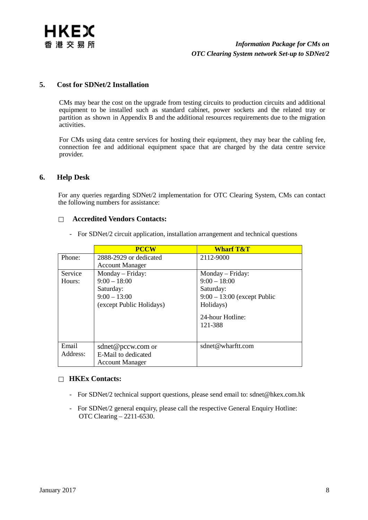

#### <span id="page-8-0"></span>**5. Cost for SDNet/2 Installation**

CMs may bear the cost on the upgrade from testing circuits to production circuits and additional equipment to be installed such as standard cabinet, power sockets and the related tray or partition as shown in Appendix B and the additional resources requirements due to the migration activities.

For CMs using data centre services for hosting their equipment, they may bear the cabling fee, connection fee and additional equipment space that are charged by the data centre service provider.

#### <span id="page-8-1"></span>**6. Help Desk**

For any queries regarding SDNet/2 implementation for OTC Clearing System, CMs can contact the following numbers for assistance:

#### **Accredited Vendors Contacts:**

- For SDNet/2 circuit application, installation arrangement and technical questions

|          | <b>PCCW</b>              | <b>Wharf T&amp;T</b>          |
|----------|--------------------------|-------------------------------|
| Phone:   | 2888-2929 or dedicated   | 2112-9000                     |
|          | <b>Account Manager</b>   |                               |
| Service  | Monday – Friday:         | Monday – Friday:              |
| Hours:   | $9:00 - 18:00$           | $9:00 - 18:00$                |
|          | Saturday:                | Saturday:                     |
|          | $9:00 - 13:00$           | $9:00 - 13:00$ (except Public |
|          | (except Public Holidays) | Holidays)                     |
|          |                          | 24-hour Hotline:              |
|          |                          | 121-388                       |
|          |                          |                               |
| Email    | sdnet@pccw.com or        | sdnet@wharftt.com             |
| Address: | E-Mail to dedicated      |                               |
|          | <b>Account Manager</b>   |                               |

#### **HKEx Contacts:**

- For SDNet/2 technical support questions, please send email [to: sdnet@hkex.com.hk](mailto:sdnet@hkex.com.hk)
- For SDNet/2 general enquiry, please call the respective General Enquiry Hotline: OTC Clearing – 2211-6530.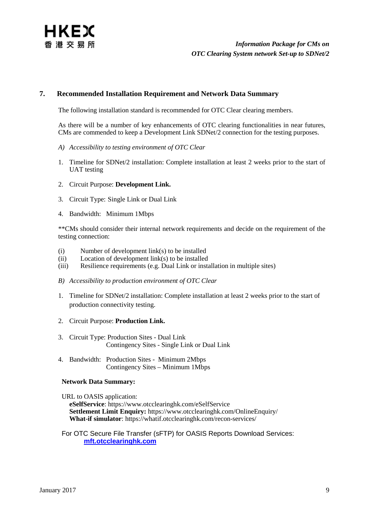#### <span id="page-9-0"></span>**7. Recommended Installation Requirement and Network Data Summary**

The following installation standard is recommended for OTC Clear clearing members.

As there will be a number of key enhancements of OTC clearing functionalities in near futures, CMs are commended to keep a Development Link SDNet/2 connection for the testing purposes.

- *A) Accessibility to testing environment of OTC Clear*
- 1. Timeline for SDNet/2 installation: Complete installation at least 2 weeks prior to the start of UAT testing
- 2. Circuit Purpose: **Development Link.**
- 3. Circuit Type: Single Link or Dual Link
- 4. Bandwidth: Minimum 1Mbps

\*\*CMs should consider their internal network requirements and decide on the requirement of the testing connection:

- (i) Number of development link(s) to be installed
- (ii) Location of development link(s) to be installed<br>(iii) Resilience requirements (e.g. Dual Link or installed
- Resilience requirements (e.g. Dual Link or installation in multiple sites)
- *B) Accessibility to production environment of OTC Clear*
- 1. Timeline for SDNet/2 installation: Complete installation at least 2 weeks prior to the start of production connectivity testing.
- 2. Circuit Purpose: **Production Link.**
- 3. Circuit Type: Production Sites Dual Link Contingency Sites - Single Link or Dual Link
- 4. Bandwidth: Production Sites Minimum 2Mbps Contingency Sites – Minimum 1Mbps

#### **Network Data Summary:**

URL to OASIS application:

**eSelfService**:<https://www.otcclearinghk.com/eSelfService> **Settlement Limit Enquiry:** https://www.otcclearinghk.com/OnlineEnquiry/ **What-if simulator**:<https://whatif.otcclearinghk.com/recon-services/>

#### For OTC Secure File Transfer (sFTP) for OASIS Reports Download Services: **[mft.otcclearinghk.com](https://mft.otcclearinghk.com/)**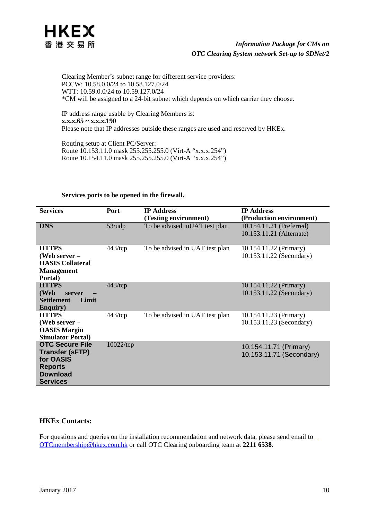

Clearing Member's subnet range for different service providers: PCCW: 10.58.0.0/24 to 10.58.127.0/24 WTT: 10.59.0.0/24 to 10.59.127.0/24 \*CM will be assigned to a 24-bit subnet which depends on which carrier they choose.

IP address range usable by Clearing Members is: **x.x.x.65 ~ x.x.x.190** Please note that IP addresses outside these ranges are used and reserved by HKEx.

Routing setup at Client PC/Server: Route 10.153.11.0 mask 255.255.255.0 (Virt-A "x.x.x.254") Route 10.154.11.0 mask 255.255.255.0 (Virt-A "x.x.x.254")

| <b>Services</b>                                                                                                       | <b>Port</b>  | <b>IP Address</b>              | <b>IP Address</b>                                    |
|-----------------------------------------------------------------------------------------------------------------------|--------------|--------------------------------|------------------------------------------------------|
|                                                                                                                       |              | (Testing environment)          | (Production environment)                             |
| <b>DNS</b>                                                                                                            | $53/$ udp    | To be advised in UAT test plan | 10.154.11.21 (Preferred)<br>10.153.11.21 (Alternate) |
| <b>HTTPS</b><br>(Web server -<br><b>OASIS Collateral</b><br><b>Management</b><br>Portal)                              | $443$ /tcp   | To be advised in UAT test plan | 10.154.11.22 (Primary)<br>10.153.11.22 (Secondary)   |
| <b>HTTPS</b><br>(Web<br>server<br><b>Settlement</b><br>Limit<br><b>Enquiry</b> )                                      | $443$ /tcp   |                                | 10.154.11.22 (Primary)<br>10.153.11.22 (Secondary)   |
| <b>HTTPS</b><br>(Web server $-$<br><b>OASIS Margin</b><br><b>Simulator Portal)</b>                                    | $443$ /tcp   | To be advised in UAT test plan | 10.154.11.23 (Primary)<br>10.153.11.23 (Secondary)   |
| <b>OTC Secure File</b><br><b>Transfer (SFTP)</b><br>for OASIS<br><b>Reports</b><br><b>Download</b><br><b>Services</b> | $10022$ /tcp |                                | 10.154.11.71 (Primary)<br>10.153.11.71 (Secondary)   |

#### **Services ports to be opened in the firewall.**

#### **HKEx Contacts:**

Forquestions and queries on the installation recommendation and network data, please send email to [OTCmembership@hkex.com.hk](mailto:%20OTCmembership@hkex.com.hk) or call OTC Clearing onboarding team at **2211 6538**.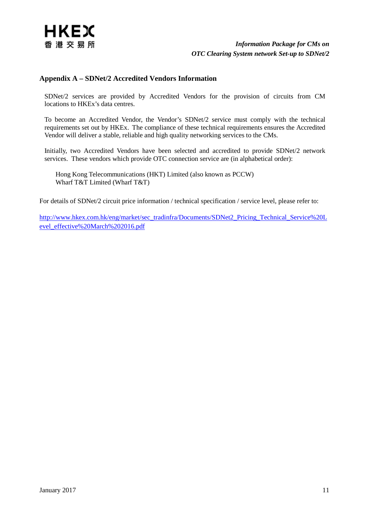

#### <span id="page-11-0"></span>**Appendix A – SDNet/2 Accredited Vendors Information**

SDNet/2 services are provided by Accredited Vendors for the provision of circuits from CM locations to HKEx's data centres.

To become an Accredited Vendor, the Vendor's SDNet/2 service must comply with the technical requirements set out by HKEx. The compliance of these technical requirements ensures the Accredited Vendor will deliver a stable, reliable and high quality networking services to the CMs.

Initially, two Accredited Vendors have been selected and accredited to provide SDNet/2 network services. These vendors which provide OTC connection service are (in alphabetical order):

Hong Kong Telecommunications (HKT) Limited (also known as PCCW) Wharf T&T Limited (Wharf T&T)

For details of SDNet/2 circuit price information / technical specification / service level, please refer to:

[http://www.hkex.com.hk/eng/market/sec\\_tradinfra/Documents/SDNet2\\_Pricing\\_Technical\\_Service%20L](http://www.hkex.com.hk/eng/market/sec_tradinfra/Documents/SDNet2_Pricing_Technical_Service%20Level_effective%20March%202016.pdf) [evel\\_effective%20March%202016.pdf](http://www.hkex.com.hk/eng/market/sec_tradinfra/Documents/SDNet2_Pricing_Technical_Service%20Level_effective%20March%202016.pdf)